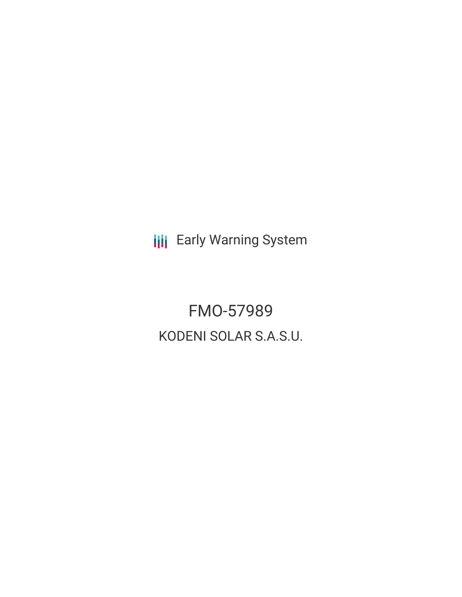**III** Early Warning System

FMO-57989 KODENI SOLAR S.A.S.U.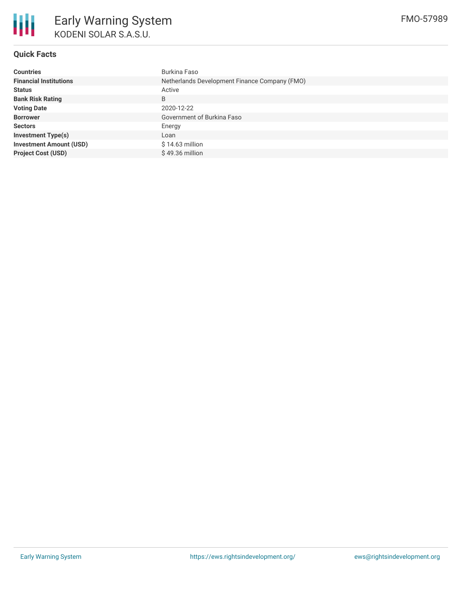

# **Quick Facts**

| <b>Countries</b>               | Burkina Faso                                  |
|--------------------------------|-----------------------------------------------|
| <b>Financial Institutions</b>  | Netherlands Development Finance Company (FMO) |
| <b>Status</b>                  | Active                                        |
| <b>Bank Risk Rating</b>        | B                                             |
| <b>Voting Date</b>             | 2020-12-22                                    |
| <b>Borrower</b>                | Government of Burkina Faso                    |
| <b>Sectors</b>                 | Energy                                        |
| <b>Investment Type(s)</b>      | Loan                                          |
| <b>Investment Amount (USD)</b> | \$14.63 million                               |
| <b>Project Cost (USD)</b>      | $$49.36$ million                              |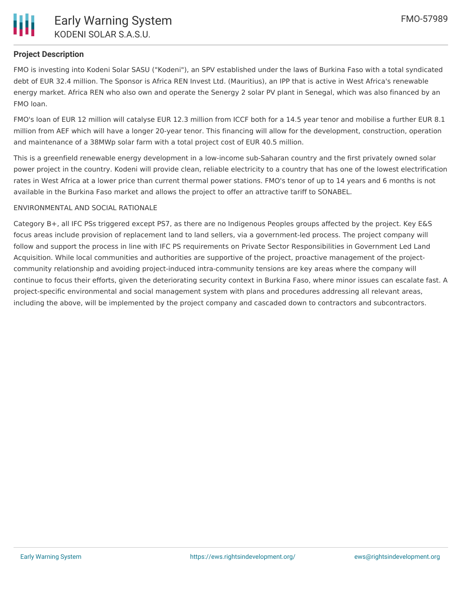

## **Project Description**

FMO is investing into Kodeni Solar SASU ("Kodeni"), an SPV established under the laws of Burkina Faso with a total syndicated debt of EUR 32.4 million. The Sponsor is Africa REN Invest Ltd. (Mauritius), an IPP that is active in West Africa's renewable energy market. Africa REN who also own and operate the Senergy 2 solar PV plant in Senegal, which was also financed by an FMO loan.

FMO's loan of EUR 12 million will catalyse EUR 12.3 million from ICCF both for a 14.5 year tenor and mobilise a further EUR 8.1 million from AEF which will have a longer 20-year tenor. This financing will allow for the development, construction, operation and maintenance of a 38MWp solar farm with a total project cost of EUR 40.5 million.

This is a greenfield renewable energy development in a low-income sub-Saharan country and the first privately owned solar power project in the country. Kodeni will provide clean, reliable electricity to a country that has one of the lowest electrification rates in West Africa at a lower price than current thermal power stations. FMO's tenor of up to 14 years and 6 months is not available in the Burkina Faso market and allows the project to offer an attractive tariff to SONABEL.

#### ENVIRONMENTAL AND SOCIAL RATIONALE

Category B+, all IFC PSs triggered except PS7, as there are no Indigenous Peoples groups affected by the project. Key E&S focus areas include provision of replacement land to land sellers, via a government-led process. The project company will follow and support the process in line with IFC PS requirements on Private Sector Responsibilities in Government Led Land Acquisition. While local communities and authorities are supportive of the project, proactive management of the projectcommunity relationship and avoiding project-induced intra-community tensions are key areas where the company will continue to focus their efforts, given the deteriorating security context in Burkina Faso, where minor issues can escalate fast. A project-specific environmental and social management system with plans and procedures addressing all relevant areas, including the above, will be implemented by the project company and cascaded down to contractors and subcontractors.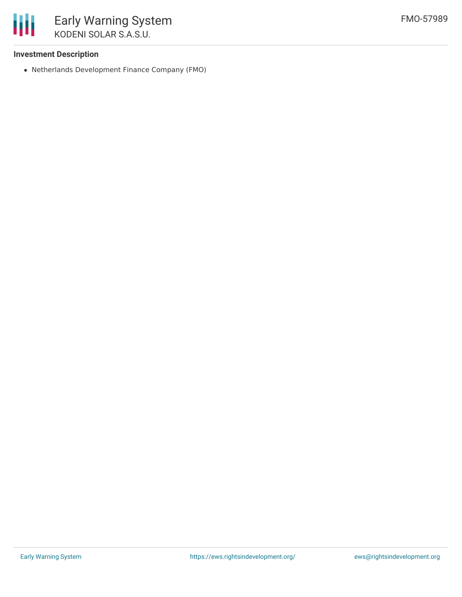

### **Investment Description**

Netherlands Development Finance Company (FMO)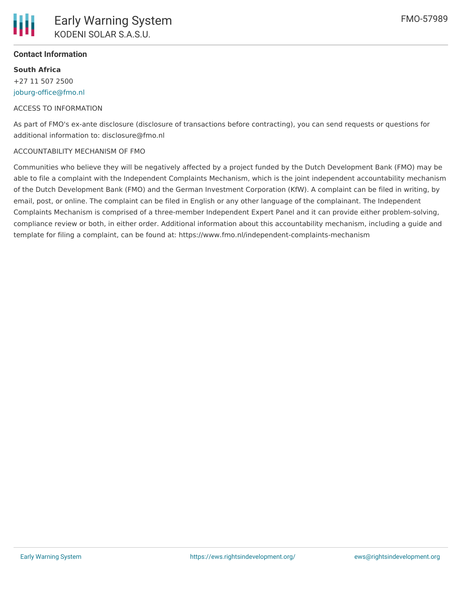

## **Contact Information**

**South Africa** +27 11 507 2500 [joburg-office@fmo.nl](mailto:joburg-office@fmo.nl)

#### ACCESS TO INFORMATION

As part of FMO's ex-ante disclosure (disclosure of transactions before contracting), you can send requests or questions for additional information to: disclosure@fmo.nl

#### ACCOUNTABILITY MECHANISM OF FMO

Communities who believe they will be negatively affected by a project funded by the Dutch Development Bank (FMO) may be able to file a complaint with the Independent Complaints Mechanism, which is the joint independent accountability mechanism of the Dutch Development Bank (FMO) and the German Investment Corporation (KfW). A complaint can be filed in writing, by email, post, or online. The complaint can be filed in English or any other language of the complainant. The Independent Complaints Mechanism is comprised of a three-member Independent Expert Panel and it can provide either problem-solving, compliance review or both, in either order. Additional information about this accountability mechanism, including a guide and template for filing a complaint, can be found at: https://www.fmo.nl/independent-complaints-mechanism